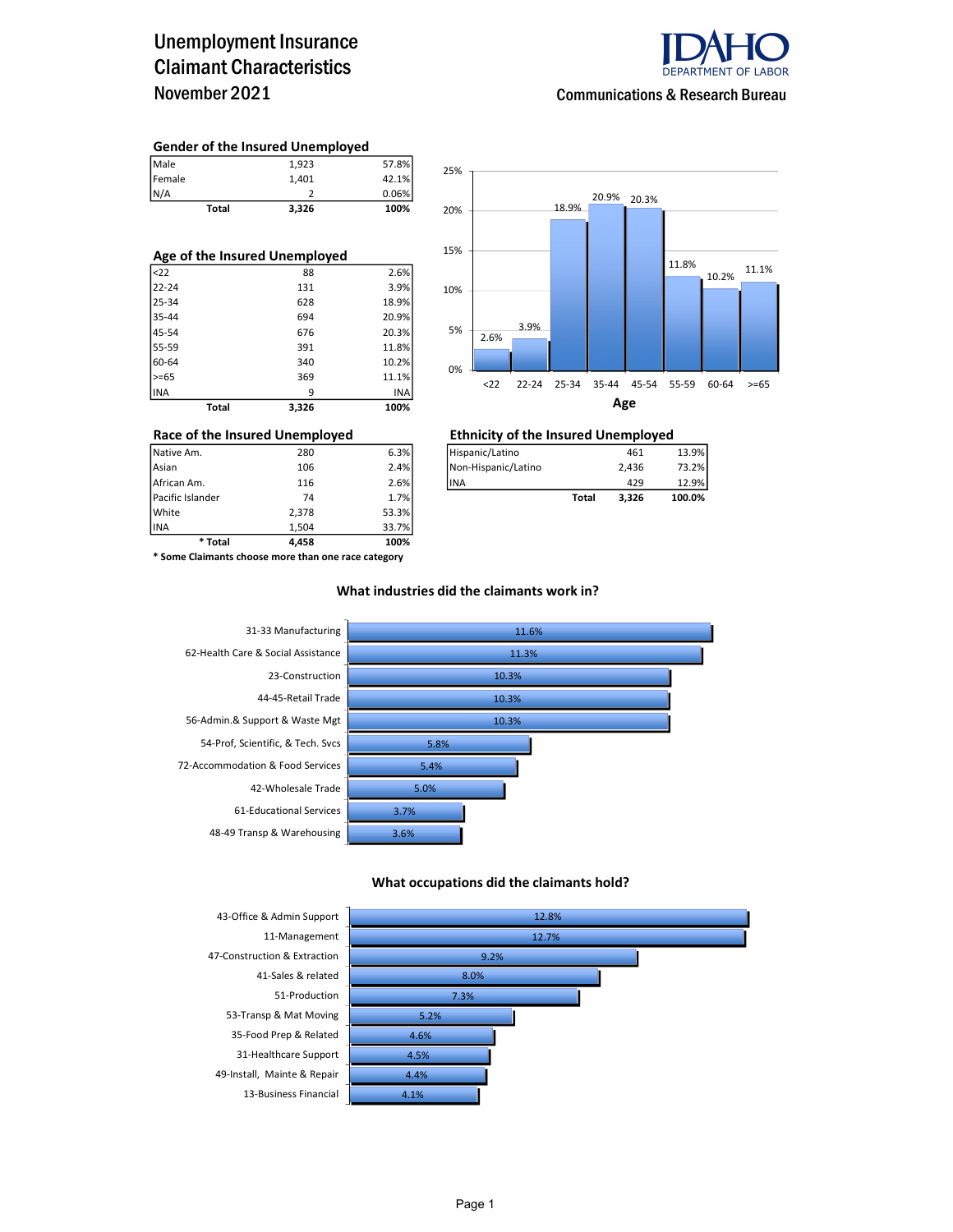### Unemployment Insurance Claimant Characteristics November 2021



Communications & Research Bureau

#### Gender of the Insured Unemployed

| Total  | 3,326 | 100%  |
|--------|-------|-------|
| N/A    |       | 0.06% |
| Female | 1.401 | 42.1% |
| Male   | 1.923 | 57.8% |

| Age of the Insured Unemployed |       |       |  |  |  |  |  |
|-------------------------------|-------|-------|--|--|--|--|--|
| <sub>22</sub>                 | 88    | 2.6%  |  |  |  |  |  |
| 22-24                         | 131   | 3.9%  |  |  |  |  |  |
| 25-34                         | 628   | 18.9% |  |  |  |  |  |
| 35-44                         | 694   | 20.9% |  |  |  |  |  |
| 45-54                         | 676   | 20.3% |  |  |  |  |  |
| 55-59                         | 391   | 11.8% |  |  |  |  |  |
| 60-64                         | 340   | 10.2% |  |  |  |  |  |
| $>= 65$                       | 369   | 11.1% |  |  |  |  |  |
| <b>INA</b>                    | 9     | INA   |  |  |  |  |  |
| Total                         | 3.326 | 100%  |  |  |  |  |  |



## Race of the Insured Unemployed<br>
Native Am. 280 6.3% Hispanic/Latino 461 461

| Native Am.       | 280 | 6.3% | Hispanic/Latino     |       | 461   | 13.9%  |
|------------------|-----|------|---------------------|-------|-------|--------|
| Asian            | 106 | 2.4% | Non-Hispanic/Latino |       | 2.436 | 73.2%  |
| African Am.      | 116 | 2.6% | lina                |       | 429   | 12.9%  |
| Pacific Islander | 74  | 1.7% |                     | Total | 3.326 | 100.0% |

INA 1,504 33.7% \* Some Claimants choose more than one race category

\* Total 4,458 100%

Pacific Islander 74 1.7% White 2,378 53.3%<br>1.504 33.7% 1.504

#### What industries did the claimants work in?



#### What occupations did the claimants hold?

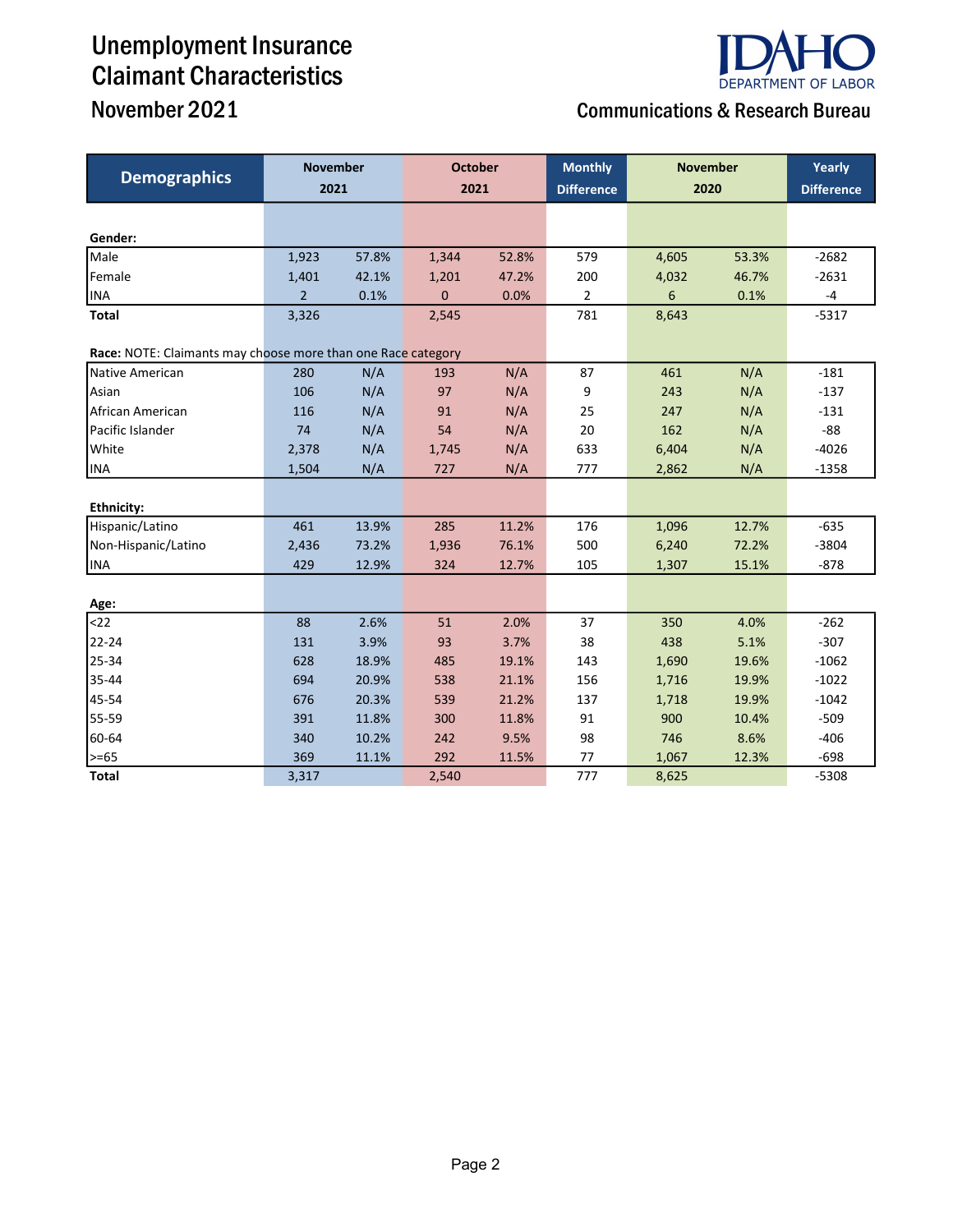# Unemployment Insurance Claimant Characteristics



## November 2021 Communications & Research Bureau

| <b>Demographics</b>                                          | <b>November</b><br>2021 |       | <b>October</b><br>2021 |       | <b>Monthly</b><br><b>Difference</b> | <b>November</b><br>2020 |       | Yearly<br><b>Difference</b> |
|--------------------------------------------------------------|-------------------------|-------|------------------------|-------|-------------------------------------|-------------------------|-------|-----------------------------|
|                                                              |                         |       |                        |       |                                     |                         |       |                             |
| Gender:                                                      |                         |       |                        |       |                                     |                         |       |                             |
| Male                                                         | 1,923                   | 57.8% | 1,344                  | 52.8% | 579                                 | 4,605                   | 53.3% | $-2682$                     |
| Female                                                       | 1,401                   | 42.1% | 1,201                  | 47.2% | 200                                 | 4,032                   | 46.7% | $-2631$                     |
| <b>INA</b>                                                   | $\overline{2}$          | 0.1%  | $\mathbf{0}$           | 0.0%  | $\overline{2}$                      | 6                       | 0.1%  | -4                          |
| <b>Total</b>                                                 | 3,326                   |       | 2,545                  |       | 781                                 | 8,643                   |       | $-5317$                     |
| Race: NOTE: Claimants may choose more than one Race category |                         |       |                        |       |                                     |                         |       |                             |
| Native American                                              | 280                     | N/A   | 193                    | N/A   | 87                                  | 461                     | N/A   | $-181$                      |
| Asian                                                        | 106                     | N/A   | 97                     | N/A   | 9                                   | 243                     | N/A   | $-137$                      |
| African American                                             | 116                     | N/A   | 91                     | N/A   | 25                                  | 247                     | N/A   | $-131$                      |
| Pacific Islander                                             | 74                      | N/A   | 54                     | N/A   | 20                                  | 162                     | N/A   | $-88$                       |
| White                                                        | 2,378                   | N/A   | 1,745                  | N/A   | 633                                 | 6,404                   | N/A   | $-4026$                     |
| <b>INA</b>                                                   | 1,504                   | N/A   | 727                    | N/A   | 777                                 | 2,862                   | N/A   | $-1358$                     |
|                                                              |                         |       |                        |       |                                     |                         |       |                             |
| <b>Ethnicity:</b>                                            |                         |       |                        |       |                                     |                         |       |                             |
| Hispanic/Latino                                              | 461                     | 13.9% | 285                    | 11.2% | 176                                 | 1,096                   | 12.7% | $-635$                      |
| Non-Hispanic/Latino                                          | 2,436                   | 73.2% | 1,936                  | 76.1% | 500                                 | 6,240                   | 72.2% | $-3804$                     |
| <b>INA</b>                                                   | 429                     | 12.9% | 324                    | 12.7% | 105                                 | 1,307                   | 15.1% | $-878$                      |
|                                                              |                         |       |                        |       |                                     |                         |       |                             |
| Age:                                                         |                         |       |                        |       |                                     |                         |       |                             |
| $22$                                                         | 88                      | 2.6%  | 51                     | 2.0%  | 37                                  | 350                     | 4.0%  | $-262$                      |
| 22-24                                                        | 131                     | 3.9%  | 93                     | 3.7%  | 38                                  | 438                     | 5.1%  | $-307$                      |
| 25-34                                                        | 628                     | 18.9% | 485                    | 19.1% | 143                                 | 1,690                   | 19.6% | $-1062$                     |
| 35-44                                                        | 694                     | 20.9% | 538                    | 21.1% | 156                                 | 1,716                   | 19.9% | $-1022$                     |
| 45-54                                                        | 676                     | 20.3% | 539                    | 21.2% | 137                                 | 1,718                   | 19.9% | $-1042$                     |
| 55-59                                                        | 391                     | 11.8% | 300                    | 11.8% | 91                                  | 900                     | 10.4% | $-509$                      |
| 60-64                                                        | 340                     | 10.2% | 242                    | 9.5%  | 98                                  | 746                     | 8.6%  | $-406$                      |
| >=65                                                         | 369                     | 11.1% | 292                    | 11.5% | 77                                  | 1,067                   | 12.3% | $-698$                      |
| <b>Total</b>                                                 | 3,317                   |       | 2,540                  |       | 777                                 | 8,625                   |       | $-5308$                     |